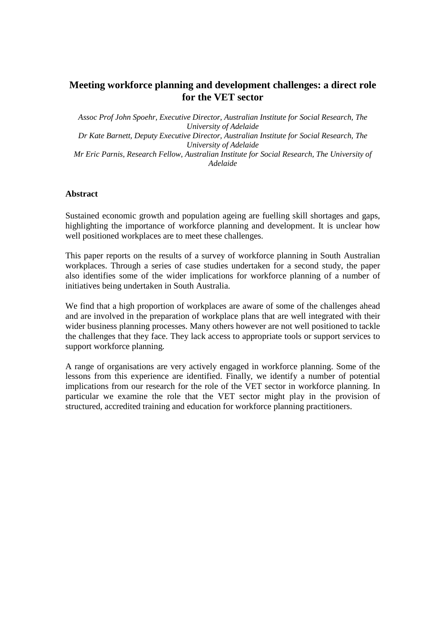# **Meeting workforce planning and development challenges: a direct role for the VET sector**

*Assoc Prof John Spoehr, Executive Director, Australian Institute for Social Research, The University of Adelaide Dr Kate Barnett, Deputy Executive Director, Australian Institute for Social Research, The University of Adelaide Mr Eric Parnis, Research Fellow, Australian Institute for Social Research, The University of Adelaide* 

#### **Abstract**

Sustained economic growth and population ageing are fuelling skill shortages and gaps, highlighting the importance of workforce planning and development. It is unclear how well positioned workplaces are to meet these challenges.

This paper reports on the results of a survey of workforce planning in South Australian workplaces. Through a series of case studies undertaken for a second study, the paper also identifies some of the wider implications for workforce planning of a number of initiatives being undertaken in South Australia.

We find that a high proportion of workplaces are aware of some of the challenges ahead and are involved in the preparation of workplace plans that are well integrated with their wider business planning processes. Many others however are not well positioned to tackle the challenges that they face. They lack access to appropriate tools or support services to support workforce planning.

A range of organisations are very actively engaged in workforce planning. Some of the lessons from this experience are identified. Finally, we identify a number of potential implications from our research for the role of the VET sector in workforce planning. In particular we examine the role that the VET sector might play in the provision of structured, accredited training and education for workforce planning practitioners.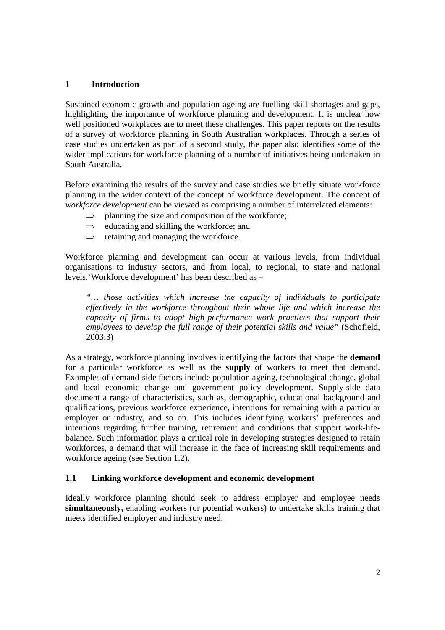# **1 Introduction**

Sustained economic growth and population ageing are fuelling skill shortages and gaps, highlighting the importance of workforce planning and development. It is unclear how well positioned workplaces are to meet these challenges. This paper reports on the results of a survey of workforce planning in South Australian workplaces. Through a series of case studies undertaken as part of a second study, the paper also identifies some of the wider implications for workforce planning of a number of initiatives being undertaken in South Australia.

Before examining the results of the survey and case studies we briefly situate workforce planning in the wider context of the concept of workforce development. The concept of *workforce development* can be viewed as comprising a number of interrelated elements:

- $\Rightarrow$  planning the size and composition of the workforce;
- $\Rightarrow$  educating and skilling the workforce; and
- $\Rightarrow$  retaining and managing the workforce.

Workforce planning and development can occur at various levels, from individual organisations to industry sectors, and from local, to regional, to state and national levels.'Workforce development' has been described as –

*"… those activities which increase the capacity of individuals to participate effectively in the workforce throughout their whole life and which increase the capacity of firms to adopt high-performance work practices that support their employees to develop the full range of their potential skills and value"* (Schofield, 2003:3)

As a strategy, workforce planning involves identifying the factors that shape the **demand**  for a particular workforce as well as the **supply** of workers to meet that demand. Examples of demand-side factors include population ageing, technological change, global and local economic change and government policy development. Supply-side data document a range of characteristics, such as, demographic, educational background and qualifications, previous workforce experience, intentions for remaining with a particular employer or industry, and so on. This includes identifying workers' preferences and intentions regarding further training, retirement and conditions that support work-lifebalance. Such information plays a critical role in developing strategies designed to retain workforces, a demand that will increase in the face of increasing skill requirements and workforce ageing (see Section 1.2).

#### **1.1 Linking workforce development and economic development**

Ideally workforce planning should seek to address employer and employee needs **simultaneously,** enabling workers (or potential workers) to undertake skills training that meets identified employer and industry need.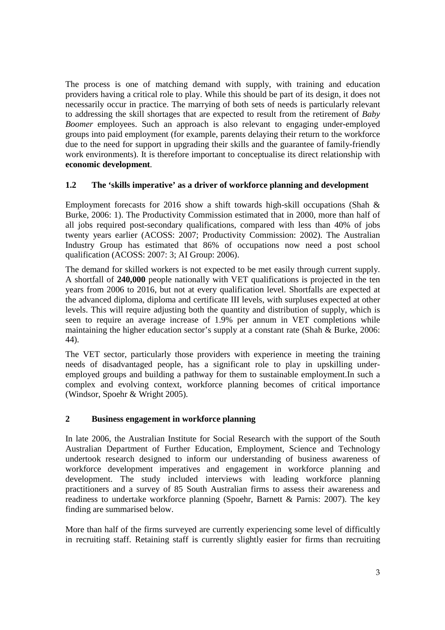The process is one of matching demand with supply, with training and education providers having a critical role to play. While this should be part of its design, it does not necessarily occur in practice. The marrying of both sets of needs is particularly relevant to addressing the skill shortages that are expected to result from the retirement of *Baby Boomer* employees. Such an approach is also relevant to engaging under-employed groups into paid employment (for example, parents delaying their return to the workforce due to the need for support in upgrading their skills and the guarantee of family-friendly work environments). It is therefore important to conceptualise its direct relationship with **economic development**.

# **1.2 The 'skills imperative' as a driver of workforce planning and development**

Employment forecasts for 2016 show a shift towards high-skill occupations (Shah  $\&$ Burke, 2006: 1). The Productivity Commission estimated that in 2000, more than half of all jobs required post-secondary qualifications, compared with less than 40% of jobs twenty years earlier (ACOSS: 2007; Productivity Commission: 2002). The Australian Industry Group has estimated that 86% of occupations now need a post school qualification (ACOSS: 2007: 3; AI Group: 2006).

The demand for skilled workers is not expected to be met easily through current supply. A shortfall of **240,000** people nationally with VET qualifications is projected in the ten years from 2006 to 2016, but not at every qualification level. Shortfalls are expected at the advanced diploma, diploma and certificate III levels, with surpluses expected at other levels. This will require adjusting both the quantity and distribution of supply, which is seen to require an average increase of 1.9% per annum in VET completions while maintaining the higher education sector's supply at a constant rate (Shah & Burke, 2006: 44).

The VET sector, particularly those providers with experience in meeting the training needs of disadvantaged people, has a significant role to play in upskilling underemployed groups and building a pathway for them to sustainable employment.In such a complex and evolving context, workforce planning becomes of critical importance (Windsor, Spoehr & Wright 2005).

#### **2 Business engagement in workforce planning**

In late 2006, the Australian Institute for Social Research with the support of the South Australian Department of Further Education, Employment, Science and Technology undertook research designed to inform our understanding of business awareness of workforce development imperatives and engagement in workforce planning and development. The study included interviews with leading workforce planning practitioners and a survey of 85 South Australian firms to assess their awareness and readiness to undertake workforce planning (Spoehr, Barnett & Parnis: 2007). The key finding are summarised below.

More than half of the firms surveyed are currently experiencing some level of difficultly in recruiting staff. Retaining staff is currently slightly easier for firms than recruiting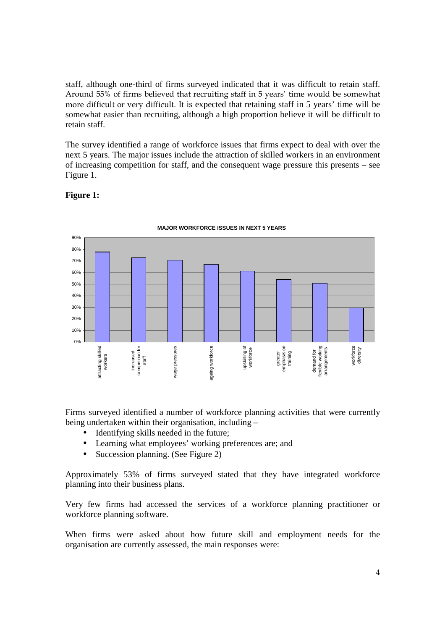staff, although one-third of firms surveyed indicated that it was difficult to retain staff. Around 55% of firms believed that recruiting staff in 5 years' time would be somewhat more difficult or very difficult. It is expected that retaining staff in 5 years' time will be somewhat easier than recruiting, although a high proportion believe it will be difficult to retain staff.

The survey identified a range of workforce issues that firms expect to deal with over the next 5 years. The major issues include the attraction of skilled workers in an environment of increasing competition for staff, and the consequent wage pressure this presents – see Figure 1.

### **Figure 1:**



#### **MAJOR WORKFORCE ISSUES IN NEXT 5 YEARS**

Firms surveyed identified a number of workforce planning activities that were currently being undertaken within their organisation, including –

- Identifying skills needed in the future;
- Learning what employees' working preferences are; and
- Succession planning. (See Figure 2)

Approximately 53% of firms surveyed stated that they have integrated workforce planning into their business plans.

Very few firms had accessed the services of a workforce planning practitioner or workforce planning software.

When firms were asked about how future skill and employment needs for the organisation are currently assessed, the main responses were: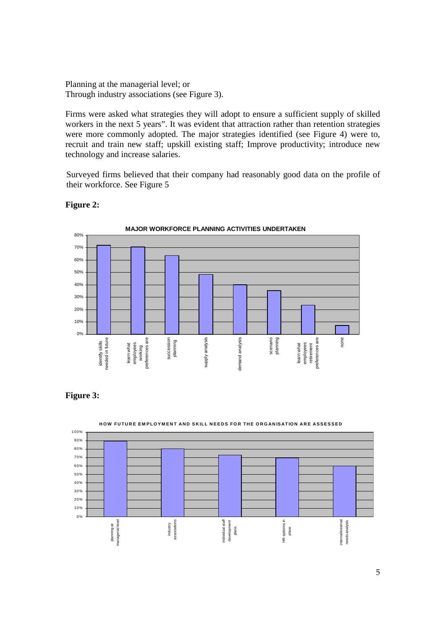Planning at the managerial level; or Through industry associations (see Figure 3).

Firms were asked what strategies they will adopt to ensure a sufficient supply of skilled workers in the next 5 years". It was evident that attraction rather than retention strategies were more commonly adopted. The major strategies identified (see Figure 4) were to, recruit and train new staff; upskill existing staff; Improve productivity; introduce new technology and increase salaries.

Surveyed firms believed that their company had reasonably good data on the profile of their workforce. See Figure 5



#### **Figure 2:**





**H O W F U T U R E E M P L O Y M E N T A N D S K IL L N E E D S F O R T H E O R G AN IS AT IO N A R E A S S E S S E D**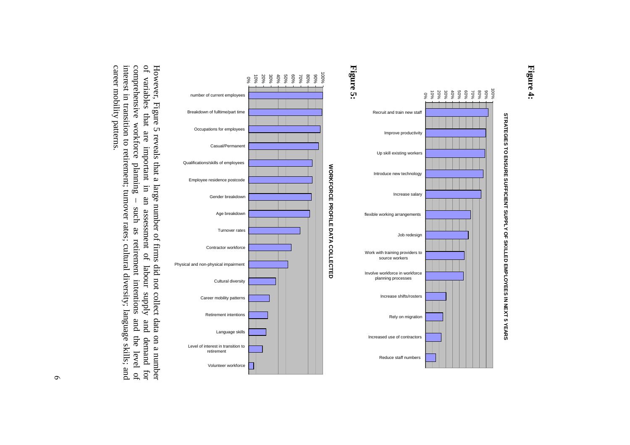









However, Figure 5 reveals that a large number of firms did not collect data on a number of variables that are important in an assessment of labour supply and demand for of variables that are important in an assessment of career mobility patterns. interest in transition to retirement; turnover rates; cultural diversity; language skills; and comprehensive workforce career mobility patterns. interest in transition to retirement; turnover rates; cultural diversity; language skills; and comprehensive workforce planning – such as retirement intentions and the level of of variables that are important in an assessment of labour supply and demand for However, Figure 5 reveals that a large number of fiplannng  $\bar{\bar{\bar{}}}$ such as retirement intentions and the level of rms did not collect data on a number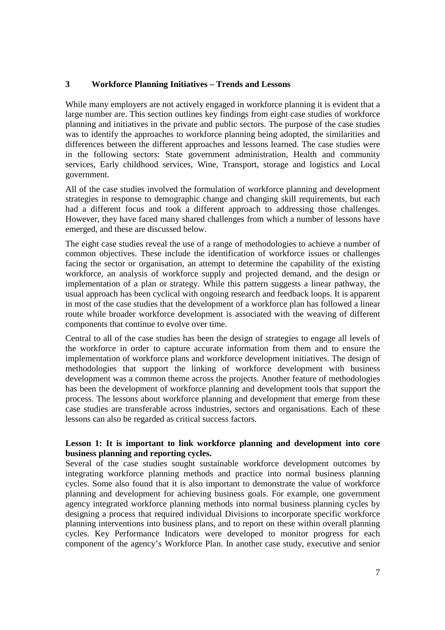#### **3 Workforce Planning Initiatives – Trends and Lessons**

While many employers are not actively engaged in workforce planning it is evident that a large number are. This section outlines key findings from eight case studies of workforce planning and initiatives in the private and public sectors. The purpose of the case studies was to identify the approaches to workforce planning being adopted, the similarities and differences between the different approaches and lessons learned. The case studies were in the following sectors: State government administration, Health and community services, Early childhood services, Wine, Transport, storage and logistics and Local government.

All of the case studies involved the formulation of workforce planning and development strategies in response to demographic change and changing skill requirements, but each had a different focus and took a different approach to addressing those challenges. However, they have faced many shared challenges from which a number of lessons have emerged, and these are discussed below.

The eight case studies reveal the use of a range of methodologies to achieve a number of common objectives. These include the identification of workforce issues or challenges facing the sector or organisation, an attempt to determine the capability of the existing workforce, an analysis of workforce supply and projected demand, and the design or implementation of a plan or strategy. While this pattern suggests a linear pathway, the usual approach has been cyclical with ongoing research and feedback loops. It is apparent in most of the case studies that the development of a workforce plan has followed a linear route while broader workforce development is associated with the weaving of different components that continue to evolve over time.

Central to all of the case studies has been the design of strategies to engage all levels of the workforce in order to capture accurate information from them and to ensure the implementation of workforce plans and workforce development initiatives. The design of methodologies that support the linking of workforce development with business development was a common theme across the projects. Another feature of methodologies has been the development of workforce planning and development tools that support the process. The lessons about workforce planning and development that emerge from these case studies are transferable across industries, sectors and organisations. Each of these lessons can also be regarded as critical success factors.

#### **Lesson 1: It is important to link workforce planning and development into core business planning and reporting cycles.**

Several of the case studies sought sustainable workforce development outcomes by integrating workforce planning methods and practice into normal business planning cycles. Some also found that it is also important to demonstrate the value of workforce planning and development for achieving business goals. For example, one government agency integrated workforce planning methods into normal business planning cycles by designing a process that required individual Divisions to incorporate specific workforce planning interventions into business plans, and to report on these within overall planning cycles. Key Performance Indicators were developed to monitor progress for each component of the agency's Workforce Plan. In another case study, executive and senior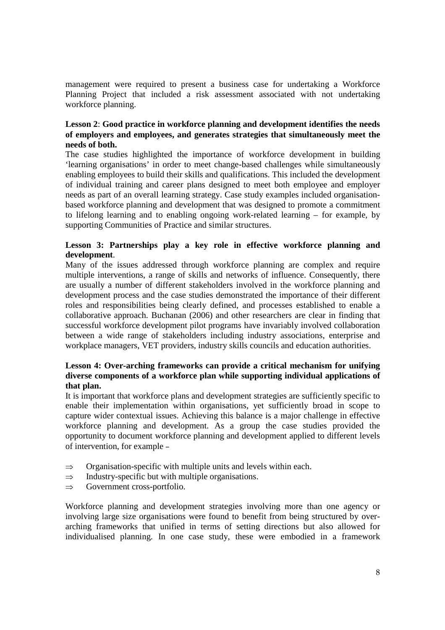management were required to present a business case for undertaking a Workforce Planning Project that included a risk assessment associated with not undertaking workforce planning.

### **Lesson 2**: **Good practice in workforce planning and development identifies the needs of employers and employees, and generates strategies that simultaneously meet the needs of both.**

The case studies highlighted the importance of workforce development in building 'learning organisations' in order to meet change-based challenges while simultaneously enabling employees to build their skills and qualifications. This included the development of individual training and career plans designed to meet both employee and employer needs as part of an overall learning strategy. Case study examples included organisationbased workforce planning and development that was designed to promote a commitment to lifelong learning and to enabling ongoing work-related learning – for example, by supporting Communities of Practice and similar structures.

### **Lesson 3: Partnerships play a key role in effective workforce planning and development**.

Many of the issues addressed through workforce planning are complex and require multiple interventions, a range of skills and networks of influence. Consequently, there are usually a number of different stakeholders involved in the workforce planning and development process and the case studies demonstrated the importance of their different roles and responsibilities being clearly defined, and processes established to enable a collaborative approach. Buchanan (2006) and other researchers are clear in finding that successful workforce development pilot programs have invariably involved collaboration between a wide range of stakeholders including industry associations, enterprise and workplace managers, VET providers, industry skills councils and education authorities.

#### **Lesson 4: Over-arching frameworks can provide a critical mechanism for unifying diverse components of a workforce plan while supporting individual applications of that plan.**

It is important that workforce plans and development strategies are sufficiently specific to enable their implementation within organisations, yet sufficiently broad in scope to capture wider contextual issues. Achieving this balance is a major challenge in effective workforce planning and development. As a group the case studies provided the opportunity to document workforce planning and development applied to different levels of intervention, for example –

- $\Rightarrow$  Organisation-specific with multiple units and levels within each.
- $\Rightarrow$  Industry-specific but with multiple organisations.
- $\Rightarrow$  Government cross-portfolio.

Workforce planning and development strategies involving more than one agency or involving large size organisations were found to benefit from being structured by overarching frameworks that unified in terms of setting directions but also allowed for individualised planning. In one case study, these were embodied in a framework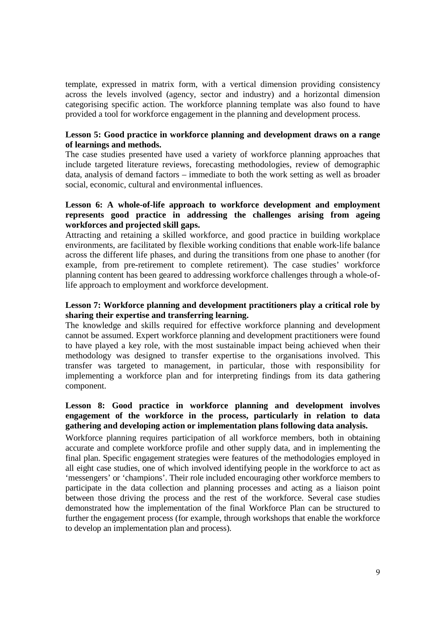template, expressed in matrix form, with a vertical dimension providing consistency across the levels involved (agency, sector and industry) and a horizontal dimension categorising specific action. The workforce planning template was also found to have provided a tool for workforce engagement in the planning and development process.

#### **Lesson 5: Good practice in workforce planning and development draws on a range of learnings and methods.**

The case studies presented have used a variety of workforce planning approaches that include targeted literature reviews, forecasting methodologies, review of demographic data, analysis of demand factors – immediate to both the work setting as well as broader social, economic, cultural and environmental influences.

#### **Lesson 6: A whole-of-life approach to workforce development and employment represents good practice in addressing the challenges arising from ageing workforces and projected skill gaps.**

Attracting and retaining a skilled workforce, and good practice in building workplace environments, are facilitated by flexible working conditions that enable work-life balance across the different life phases, and during the transitions from one phase to another (for example, from pre-retirement to complete retirement). The case studies' workforce planning content has been geared to addressing workforce challenges through a whole-oflife approach to employment and workforce development.

### **Lesson 7: Workforce planning and development practitioners play a critical role by sharing their expertise and transferring learning.**

The knowledge and skills required for effective workforce planning and development cannot be assumed. Expert workforce planning and development practitioners were found to have played a key role, with the most sustainable impact being achieved when their methodology was designed to transfer expertise to the organisations involved. This transfer was targeted to management, in particular, those with responsibility for implementing a workforce plan and for interpreting findings from its data gathering component.

### **Lesson 8: Good practice in workforce planning and development involves engagement of the workforce in the process, particularly in relation to data gathering and developing action or implementation plans following data analysis.**

Workforce planning requires participation of all workforce members, both in obtaining accurate and complete workforce profile and other supply data, and in implementing the final plan. Specific engagement strategies were features of the methodologies employed in all eight case studies, one of which involved identifying people in the workforce to act as 'messengers' or 'champions'. Their role included encouraging other workforce members to participate in the data collection and planning processes and acting as a liaison point between those driving the process and the rest of the workforce. Several case studies demonstrated how the implementation of the final Workforce Plan can be structured to further the engagement process (for example, through workshops that enable the workforce to develop an implementation plan and process).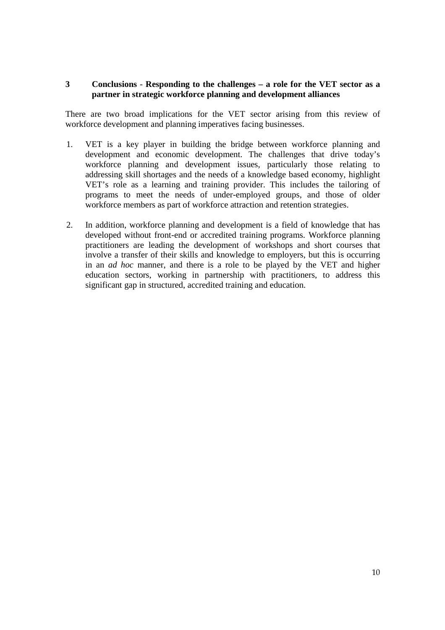#### **3 Conclusions** *-* **Responding to the challenges – a role for the VET sector as a partner in strategic workforce planning and development alliances**

There are two broad implications for the VET sector arising from this review of workforce development and planning imperatives facing businesses.

- 1. VET is a key player in building the bridge between workforce planning and development and economic development. The challenges that drive today's workforce planning and development issues, particularly those relating to addressing skill shortages and the needs of a knowledge based economy, highlight VET's role as a learning and training provider. This includes the tailoring of programs to meet the needs of under-employed groups, and those of older workforce members as part of workforce attraction and retention strategies.
- 2. In addition, workforce planning and development is a field of knowledge that has developed without front-end or accredited training programs. Workforce planning practitioners are leading the development of workshops and short courses that involve a transfer of their skills and knowledge to employers, but this is occurring in an *ad hoc* manner, and there is a role to be played by the VET and higher education sectors, working in partnership with practitioners, to address this significant gap in structured, accredited training and education.